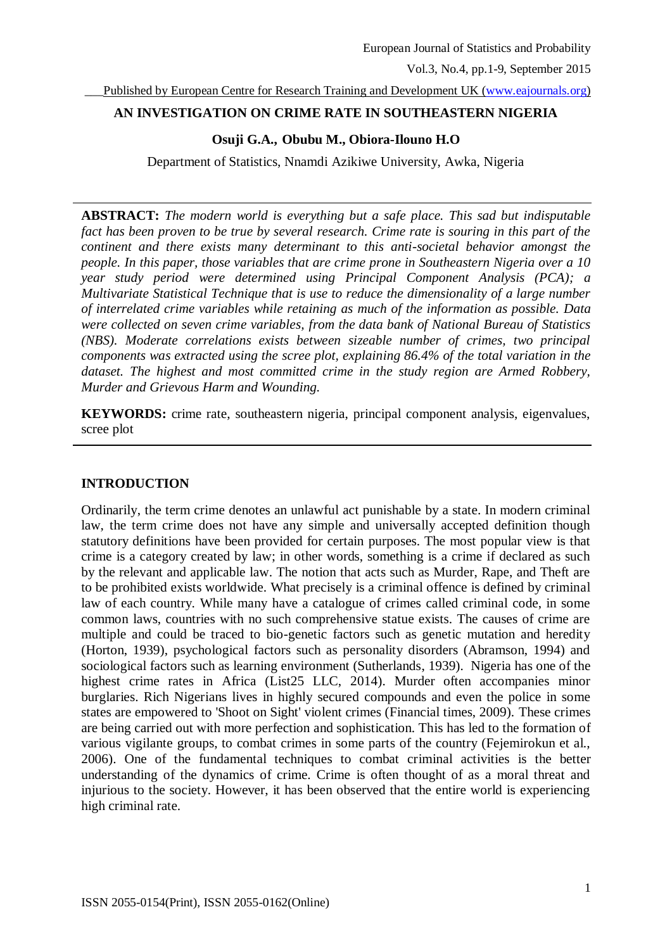\_\_\_Published by European Centre for Research Training and Development UK [\(www.eajournals.org\)](http://www.eajournals.org/)

## **AN INVESTIGATION ON CRIME RATE IN SOUTHEASTERN NIGERIA**

## **Osuji G.A., Obubu M., Obiora-Ilouno H.O**

Department of Statistics, Nnamdi Azikiwe University, Awka, Nigeria

**ABSTRACT:** *The modern world is everything but a safe place. This sad but indisputable fact has been proven to be true by several research. Crime rate is souring in this part of the continent and there exists many determinant to this anti-societal behavior amongst the people. In this paper, those variables that are crime prone in Southeastern Nigeria over a 10 year study period were determined using Principal Component Analysis (PCA); a Multivariate Statistical Technique that is use to reduce the dimensionality of a large number of interrelated crime variables while retaining as much of the information as possible. Data were collected on seven crime variables, from the data bank of National Bureau of Statistics (NBS). Moderate correlations exists between sizeable number of crimes, two principal components was extracted using the scree plot, explaining 86.4% of the total variation in the dataset. The highest and most committed crime in the study region are Armed Robbery, Murder and Grievous Harm and Wounding.*

**KEYWORDS:** crime rate, southeastern nigeria, principal component analysis, eigenvalues, scree plot

# **INTRODUCTION**

Ordinarily, the term crime denotes an unlawful act punishable by a state. In modern criminal law, the term crime does not have any simple and universally accepted definition though statutory definitions have been provided for certain purposes. The most popular view is that crime is a category created by law; in other words, something is a crime if declared as such by the relevant and applicable law. The notion that acts such as Murder, Rape, and Theft are to be prohibited exists worldwide. What precisely is a criminal offence is defined by criminal law of each country. While many have a catalogue of crimes called criminal code, in some common laws, countries with no such comprehensive statue exists. The causes of crime are multiple and could be traced to bio-genetic factors such as genetic mutation and heredity (Horton, 1939), psychological factors such as personality disorders (Abramson, 1994) and sociological factors such as learning environment (Sutherlands, 1939). Nigeria has one of the highest crime rates in Africa (List25 LLC, 2014). Murder often accompanies minor burglaries. Rich Nigerians lives in highly secured compounds and even the police in some states are empowered to 'Shoot on Sight' violent crimes (Financial times, 2009). These crimes are being carried out with more perfection and sophistication. This has led to the formation of various vigilante groups, to combat crimes in some parts of the country (Fejemirokun et al., 2006). One of the fundamental techniques to combat criminal activities is the better understanding of the dynamics of crime. Crime is often thought of as a moral threat and injurious to the society. However, it has been observed that the entire world is experiencing high criminal rate.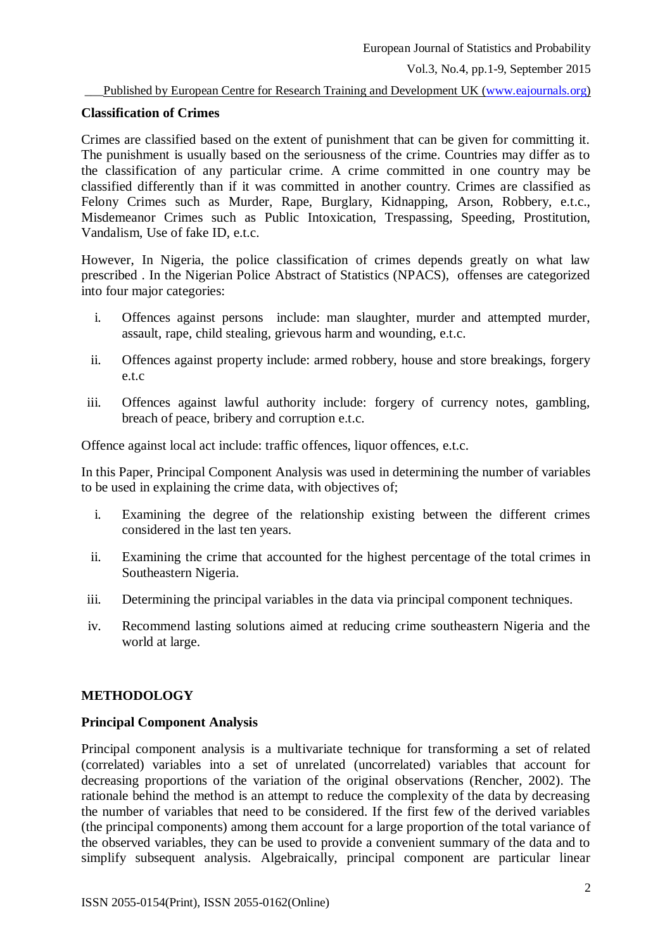### Published by European Centre for Research Training and Development UK [\(www.eajournals.org\)](http://www.eajournals.org/)

### **Classification of Crimes**

Crimes are classified based on the extent of punishment that can be given for committing it. The punishment is usually based on the seriousness of the crime. Countries may differ as to the classification of any particular crime. A crime committed in one country may be classified differently than if it was committed in another country. Crimes are classified as Felony Crimes such as Murder, Rape, Burglary, Kidnapping, Arson, Robbery, e.t.c., Misdemeanor Crimes such as Public Intoxication, Trespassing, Speeding, Prostitution, Vandalism, Use of fake ID, e.t.c.

However, In Nigeria, the police classification of crimes depends greatly on what law prescribed . In the Nigerian Police Abstract of Statistics (NPACS), offenses are categorized into four major categories:

- i. Offences against persons include: man slaughter, murder and attempted murder, assault, rape, child stealing, grievous harm and wounding, e.t.c.
- ii. Offences against property include: armed robbery, house and store breakings, forgery e.t.c
- iii. Offences against lawful authority include: forgery of currency notes, gambling, breach of peace, bribery and corruption e.t.c.

Offence against local act include: traffic offences, liquor offences, e.t.c.

In this Paper, Principal Component Analysis was used in determining the number of variables to be used in explaining the crime data, with objectives of;

- i. Examining the degree of the relationship existing between the different crimes considered in the last ten years.
- ii. Examining the crime that accounted for the highest percentage of the total crimes in Southeastern Nigeria.
- iii. Determining the principal variables in the data via principal component techniques.
- iv. Recommend lasting solutions aimed at reducing crime southeastern Nigeria and the world at large.

### **METHODOLOGY**

## **Principal Component Analysis**

Principal component analysis is a multivariate technique for transforming a set of related (correlated) variables into a set of unrelated (uncorrelated) variables that account for decreasing proportions of the variation of the original observations (Rencher, 2002). The rationale behind the method is an attempt to reduce the complexity of the data by decreasing the number of variables that need to be considered. If the first few of the derived variables (the principal components) among them account for a large proportion of the total variance of the observed variables, they can be used to provide a convenient summary of the data and to simplify subsequent analysis. Algebraically, principal component are particular linear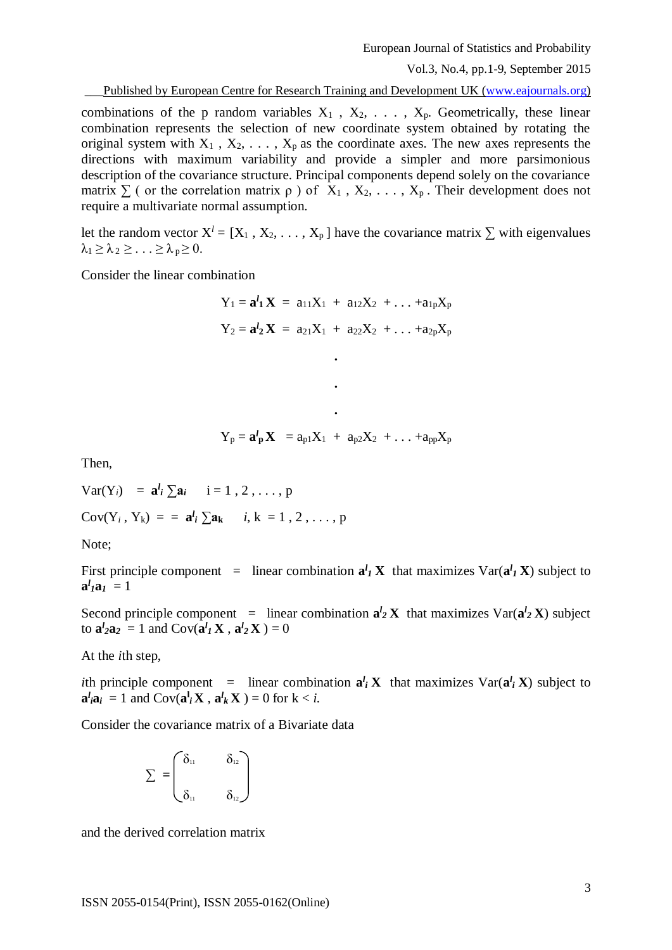\_\_\_Published by European Centre for Research Training and Development UK [\(www.eajournals.org\)](http://www.eajournals.org/)

combinations of the p random variables  $X_1$ ,  $X_2$ , ...,  $X_p$ . Geometrically, these linear combination represents the selection of new coordinate system obtained by rotating the original system with  $X_1$ ,  $X_2$ , ...,  $X_p$  as the coordinate axes. The new axes represents the directions with maximum variability and provide a simpler and more parsimonious description of the covariance structure. Principal components depend solely on the covariance matrix  $\Sigma$  ( or the correlation matrix  $\rho$  ) of  $X_1, X_2, \ldots, X_p$ . Their development does not require a multivariate normal assumption.

let the random vector  $X^l = [X_1, X_2, \ldots, X_p]$  have the covariance matrix  $\Sigma$  with eigenvalues  $\lambda_1 \geq \lambda_2 \geq \ldots \geq \lambda_p \geq 0$ .

Consider the linear combination

 $Y_1 = a^l_1 X = a_{11}X_1 + a_{12}X_2 + \ldots + a_{1p}X_p$  $Y_2 = a^l_2 X = a_{21}X_1 + a_{22}X_2 + \ldots + a_{2p}X_p$ **.**

$$
Y_p = \mathbf{a}^l_{p} \mathbf{X} = a_{p1} X_1 + a_{p2} X_2 + \ldots + a_{pp} X_p
$$

**.**

**.**

Then,

 $\text{Var}(Y_i) = \mathbf{a}^l_i \sum \mathbf{a}_i \quad i = 1, 2, \dots, p$  $Cov(Y_i, Y_k) = \frac{a_i}{\sum a_k} i, k = 1, 2, ..., p$ 

Note;

First principle component = linear combination  $\mathbf{a}^l \mathbf{I} \mathbf{X}$  that maximizes  $\text{Var}(\mathbf{a}^l \mathbf{I} \mathbf{X})$  subject to  $a^l_I a_I = 1$ 

Second principle component = linear combination  $a_2^l$  **X** that maximizes  $\text{Var}(a_2^l \mathbf{X})$  subject to  $\mathbf{a}^l_2 \mathbf{a}_2 = 1$  and  $\text{Cov}(\mathbf{a}^l I \mathbf{X}, \mathbf{a}^l I \mathbf{X}) = 0$ 

At the *i*th step,

*i*th principle component = linear combination  $a_i^l$  **X** that maximizes  $Var(a_i^l \mathbf{X})$  subject to  $\mathbf{a}^l_i \mathbf{a}_i = 1$  and  $Cov(\mathbf{a}^l_i \mathbf{X}, \mathbf{a}^l_k \mathbf{X}) = 0$  for  $k < i$ .

Consider the covariance matrix of a Bivariate data

$$
\Sigma = \begin{pmatrix} \delta_{11} & \delta_{12} \\ \vdots & \vdots \\ \delta_{11} & \delta_{12} \end{pmatrix}
$$

and the derived correlation matrix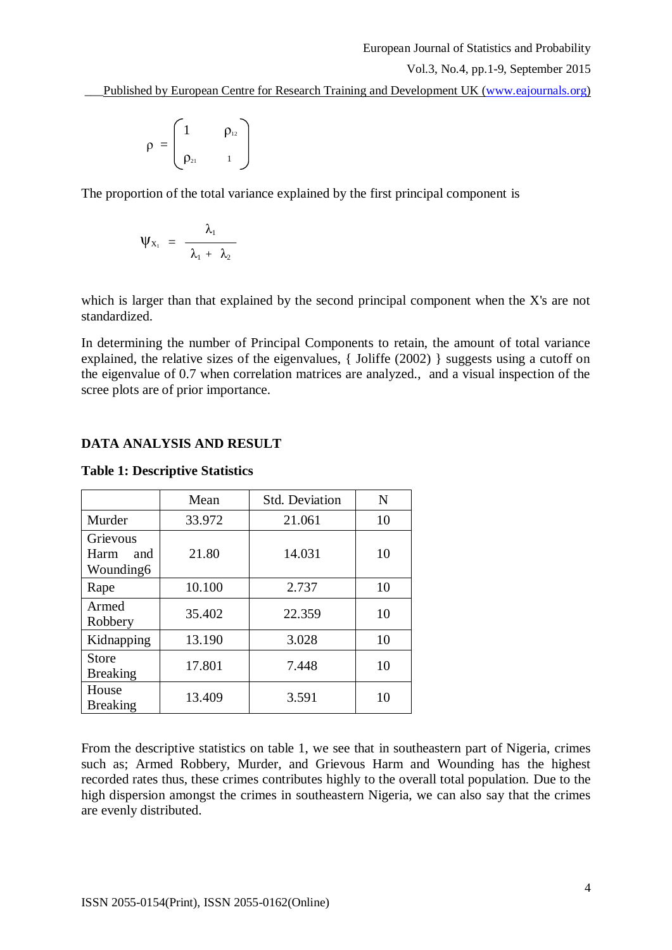\_\_\_Published by European Centre for Research Training and Development UK [\(www.eajournals.org\)](http://www.eajournals.org/)

$$
\rho = \begin{pmatrix} 1 & \rho_{12} \\ \rho_{21} & 1 \end{pmatrix}
$$

The proportion of the total variance explained by the first principal component is

$$
\Psi_{X_1} = \frac{\lambda_1}{\lambda_1 + \lambda_2}
$$

which is larger than that explained by the second principal component when the X's are not standardized.

In determining the number of Principal Components to retain, the amount of total variance explained, the relative sizes of the eigenvalues, { Joliffe (2002) } suggests using a cutoff on the eigenvalue of 0.7 when correlation matrices are analyzed., and a visual inspection of the scree plots are of prior importance.

## **DATA ANALYSIS AND RESULT**

|                                      | <b>Std. Deviation</b><br>Mean |        | N  |
|--------------------------------------|-------------------------------|--------|----|
| Murder                               | 33.972                        | 21.061 | 10 |
| Grievous<br>Harm<br>and<br>Wounding6 | 21.80                         | 14.031 | 10 |
| Rape                                 | 10.100                        | 2.737  | 10 |
| Armed<br>Robbery                     | 35.402                        | 22.359 | 10 |
| Kidnapping                           | 13.190                        | 3.028  | 10 |
| Store<br><b>Breaking</b>             | 17.801                        | 7.448  | 10 |
| House<br><b>Breaking</b>             | 13.409                        | 3.591  | 10 |

# **Table 1: Descriptive Statistics**

From the descriptive statistics on table 1, we see that in southeastern part of Nigeria, crimes such as; Armed Robbery, Murder, and Grievous Harm and Wounding has the highest recorded rates thus, these crimes contributes highly to the overall total population. Due to the high dispersion amongst the crimes in southeastern Nigeria, we can also say that the crimes are evenly distributed.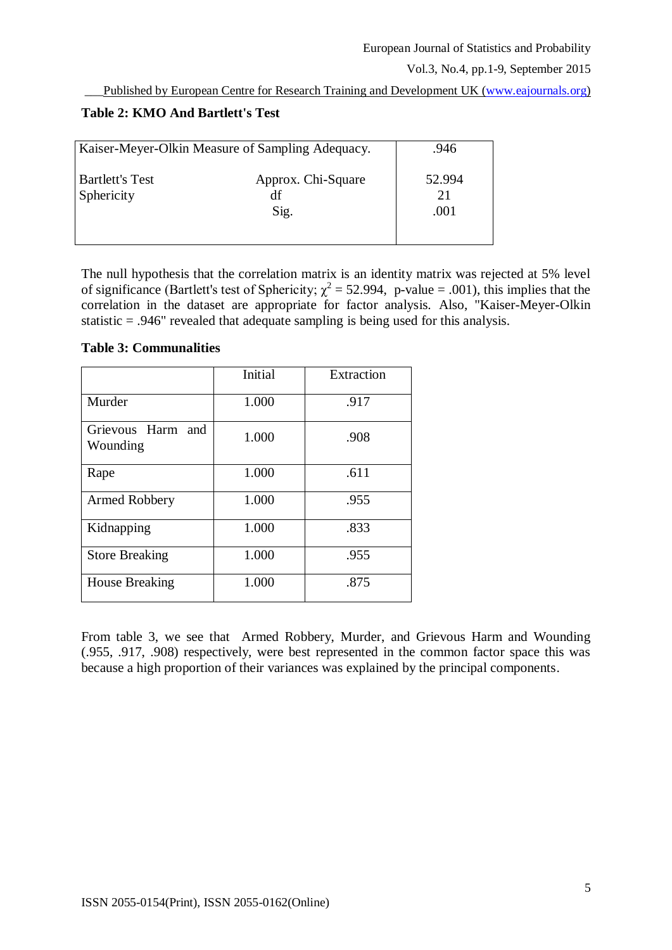Published by European Centre for Research Training and Development UK [\(www.eajournals.org\)](http://www.eajournals.org/)

# **Table 2: KMO And Bartlett's Test**

| Kaiser-Meyer-Olkin Measure of Sampling Adequacy. | .946                             |                      |
|--------------------------------------------------|----------------------------------|----------------------|
| <b>Bartlett's Test</b><br>Sphericity             | Approx. Chi-Square<br>df<br>Sig. | 52.994<br>21<br>.001 |

The null hypothesis that the correlation matrix is an identity matrix was rejected at 5% level of significance (Bartlett's test of Sphericity;  $\chi^2 = 52.994$ , p-value = .001), this implies that the correlation in the dataset are appropriate for factor analysis. Also, "Kaiser-Meyer-Olkin statistic = .946" revealed that adequate sampling is being used for this analysis.

## **Table 3: Communalities**

|                               | Initial | Extraction |
|-------------------------------|---------|------------|
| Murder                        | 1.000   | .917       |
| Grievous Harm and<br>Wounding | 1.000   | .908       |
| Rape                          | 1.000   | .611       |
| Armed Robbery                 | 1.000   | .955       |
| Kidnapping                    | 1.000   | .833       |
| <b>Store Breaking</b>         | 1.000   | .955       |
| <b>House Breaking</b>         | 1.000   | .875       |

From table 3, we see that Armed Robbery, Murder, and Grievous Harm and Wounding (.955, .917, .908) respectively, were best represented in the common factor space this was because a high proportion of their variances was explained by the principal components.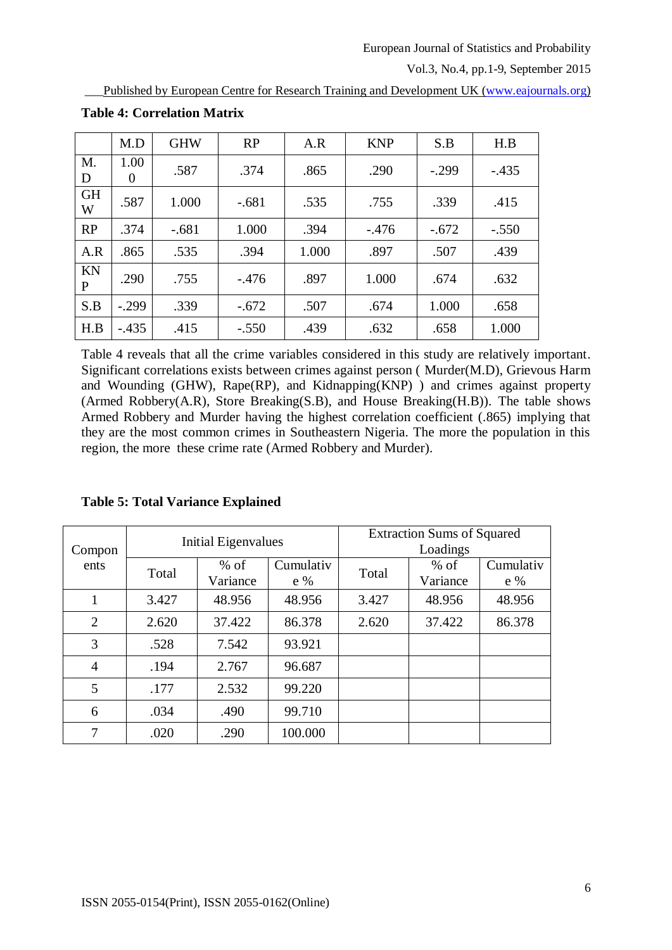Published by European Centre for Research Training and Development UK [\(www.eajournals.org\)](http://www.eajournals.org/)

|                    | M.D       | <b>GHW</b> | RP      | A.R   | <b>KNP</b> | S.B     | H.B     |
|--------------------|-----------|------------|---------|-------|------------|---------|---------|
| M.<br>D            | 1.00<br>0 | .587       | .374    | .865  | .290       | $-.299$ | $-.435$ |
| <b>GH</b><br>W     | .587      | 1.000      | $-.681$ | .535  | .755       | .339    | .415    |
| RP                 | .374      | $-.681$    | 1.000   | .394  | $-.476$    | $-.672$ | $-.550$ |
| A.R                | .865      | .535       | .394    | 1.000 | .897       | .507    | .439    |
| KN<br>$\mathbf{P}$ | .290      | .755       | $-.476$ | .897  | 1.000      | .674    | .632    |
| S.B                | $-.299$   | .339       | $-.672$ | .507  | .674       | 1.000   | .658    |
| H.B                | $-.435$   | .415       | $-.550$ | .439  | .632       | .658    | 1.000   |

**Table 4: Correlation Matrix**

Table 4 reveals that all the crime variables considered in this study are relatively important. Significant correlations exists between crimes against person ( Murder(M.D), Grievous Harm and Wounding (GHW), Rape(RP), and Kidnapping(KNP) ) and crimes against property (Armed Robbery(A.R), Store Breaking(S.B), and House Breaking(H.B)). The table shows Armed Robbery and Murder having the highest correlation coefficient (.865) implying that they are the most common crimes in Southeastern Nigeria. The more the population in this region, the more these crime rate (Armed Robbery and Murder).

|  | <b>Table 5: Total Variance Explained</b> |  |
|--|------------------------------------------|--|
|  |                                          |  |

|                | <b>Initial Eigenvalues</b> |                     | <b>Extraction Sums of Squared</b><br>Loadings |       |          |           |
|----------------|----------------------------|---------------------|-----------------------------------------------|-------|----------|-----------|
| Compon<br>ents |                            | Cumulativ<br>$%$ of |                                               |       | $%$ of   | Cumulativ |
|                | Total                      | Variance            | $e \%$                                        | Total | Variance | $e\%$     |
| 1              | 3.427                      | 48.956              | 48.956                                        | 3.427 | 48.956   | 48.956    |
| $\overline{2}$ | 2.620                      | 37.422              | 86.378                                        | 2.620 | 37.422   | 86.378    |
| 3              | .528                       | 7.542               | 93.921                                        |       |          |           |
| $\overline{4}$ | .194                       | 2.767               | 96.687                                        |       |          |           |
| 5              | .177                       | 2.532               | 99.220                                        |       |          |           |
| 6              | .034                       | .490                | 99.710                                        |       |          |           |
| 7              | .020                       | .290                | 100.000                                       |       |          |           |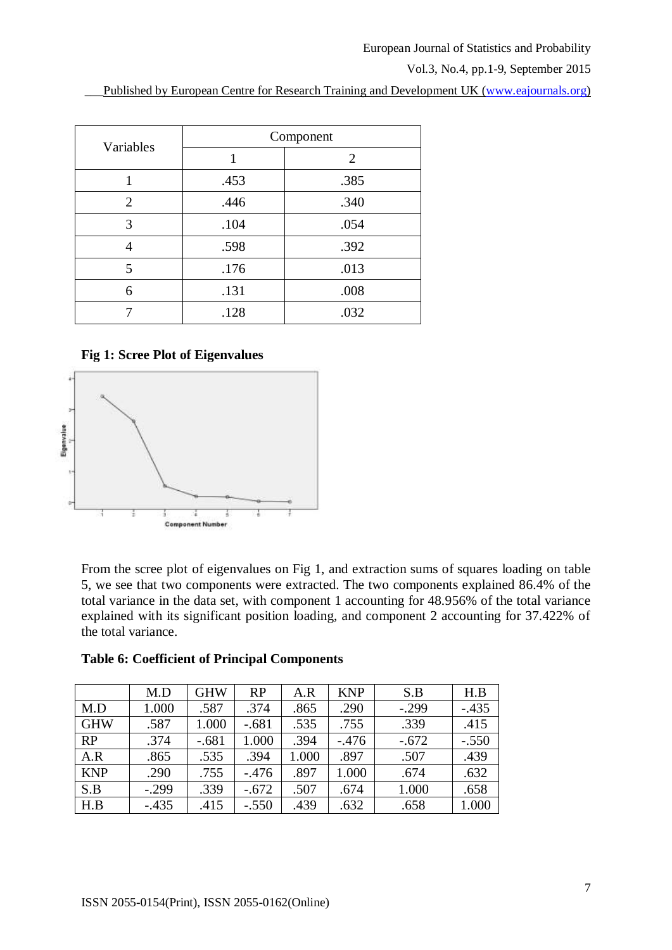Published by European Centre for Research Training and Development UK [\(www.eajournals.org\)](http://www.eajournals.org/)

| Variables | Component |                |  |  |
|-----------|-----------|----------------|--|--|
|           |           | $\overline{2}$ |  |  |
|           | .453      | .385           |  |  |
| 2         | .446      | .340           |  |  |
| 3         | .104      | .054           |  |  |
|           | .598      | .392           |  |  |
| 5         | .176      | .013           |  |  |
| 6         | .131      | .008           |  |  |
|           | .128      | .032           |  |  |

## **Fig 1: Scree Plot of Eigenvalues**



From the scree plot of eigenvalues on Fig 1, and extraction sums of squares loading on table 5, we see that two components were extracted. The two components explained 86.4% of the total variance in the data set, with component 1 accounting for 48.956% of the total variance explained with its significant position loading, and component 2 accounting for 37.422% of the total variance.

|            | M.D     | <b>GHW</b> | <b>RP</b> | A.R   | <b>KNP</b> | S.B     | H.B     |
|------------|---------|------------|-----------|-------|------------|---------|---------|
| M.D        | 1.000   | .587       | .374      | .865  | .290       | $-.299$ | $-.435$ |
| <b>GHW</b> | .587    | 1.000      | $-.681$   | .535  | .755       | .339    | .415    |
| RP         | .374    | $-.681$    | 1.000     | .394  | $-.476$    | $-.672$ | $-.550$ |
| A.R        | .865    | .535       | .394      | 1.000 | .897       | .507    | .439    |
| <b>KNP</b> | .290    | .755       | $-.476$   | .897  | 1.000      | .674    | .632    |
| S.B        | $-.299$ | .339       | $-.672$   | .507  | .674       | 1.000   | .658    |
| H.B        | $-.435$ | .415       | $-.550$   | .439  | .632       | .658    | 1.000   |

### **Table 6: Coefficient of Principal Components**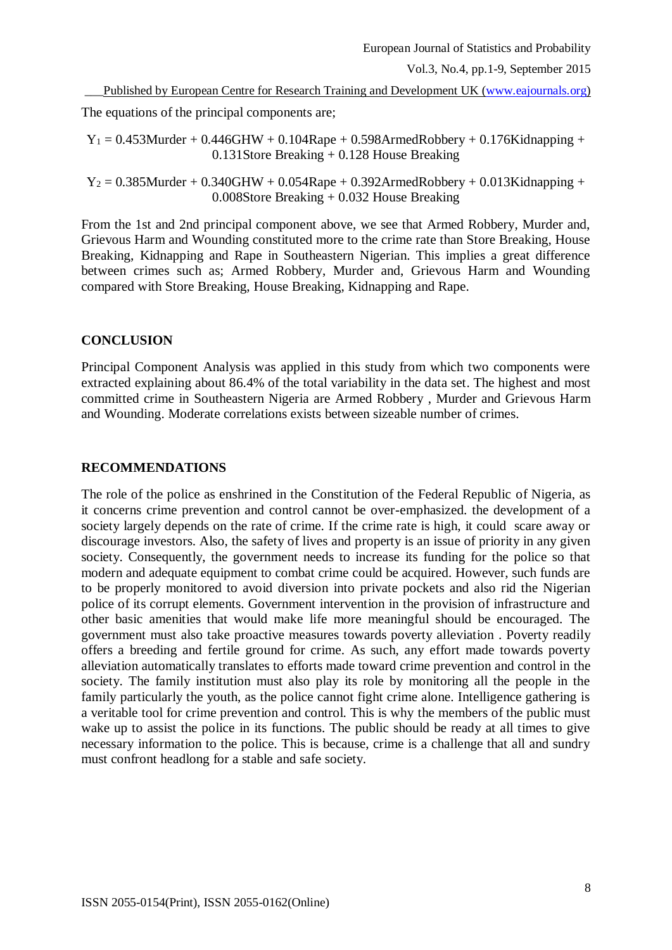\_\_\_Published by European Centre for Research Training and Development UK [\(www.eajournals.org\)](http://www.eajournals.org/)

The equations of the principal components are;

 $Y_1 = 0.453$ Murder + 0.446GHW + 0.104Rape + 0.598ArmedRobbery + 0.176Kidnapping + 0.131Store Breaking + 0.128 House Breaking

 $Y_2 = 0.385$ Murder + 0.340GHW + 0.054Rape + 0.392ArmedRobbery + 0.013Kidnapping + 0.008Store Breaking + 0.032 House Breaking

From the 1st and 2nd principal component above, we see that Armed Robbery, Murder and, Grievous Harm and Wounding constituted more to the crime rate than Store Breaking, House Breaking, Kidnapping and Rape in Southeastern Nigerian. This implies a great difference between crimes such as; Armed Robbery, Murder and, Grievous Harm and Wounding compared with Store Breaking, House Breaking, Kidnapping and Rape.

## **CONCLUSION**

Principal Component Analysis was applied in this study from which two components were extracted explaining about 86.4% of the total variability in the data set. The highest and most committed crime in Southeastern Nigeria are Armed Robbery , Murder and Grievous Harm and Wounding. Moderate correlations exists between sizeable number of crimes.

## **RECOMMENDATIONS**

The role of the police as enshrined in the Constitution of the Federal Republic of Nigeria, as it concerns crime prevention and control cannot be over-emphasized. the development of a society largely depends on the rate of crime. If the crime rate is high, it could scare away or discourage investors. Also, the safety of lives and property is an issue of priority in any given society. Consequently, the government needs to increase its funding for the police so that modern and adequate equipment to combat crime could be acquired. However, such funds are to be properly monitored to avoid diversion into private pockets and also rid the Nigerian police of its corrupt elements. Government intervention in the provision of infrastructure and other basic amenities that would make life more meaningful should be encouraged. The government must also take proactive measures towards poverty alleviation . Poverty readily offers a breeding and fertile ground for crime. As such, any effort made towards poverty alleviation automatically translates to efforts made toward crime prevention and control in the society. The family institution must also play its role by monitoring all the people in the family particularly the youth, as the police cannot fight crime alone. Intelligence gathering is a veritable tool for crime prevention and control. This is why the members of the public must wake up to assist the police in its functions. The public should be ready at all times to give necessary information to the police. This is because, crime is a challenge that all and sundry must confront headlong for a stable and safe society.